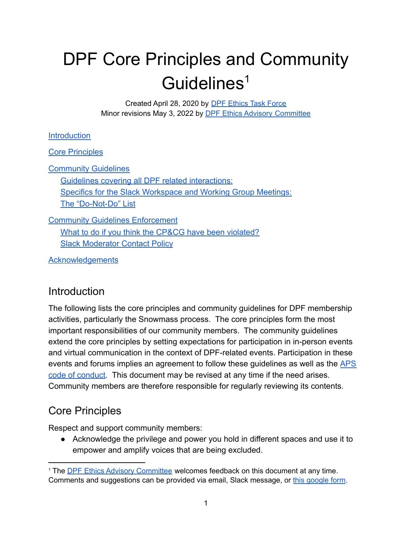# DPF Core Principles and Community Guidelines 1

Created April 28, 2020 by DPF [Ethics](https://snowmass21.org/cpcg/start#dpf_ethics_task_force) Task Force Minor revisions May 3, 2022 by **DPF Ethics Advisory [Committee](https://snowmass21.org/cpcg/start#dpf_ethics_advisory_committee)** 

#### **[Introduction](#page-0-0)**

[Core Principles](#page-0-1)

[Community Guidelines](#page-1-0) [Guidelines covering all DPF related interactions:](#page-2-0) [Specifics for the Slack Workspace and Working Group Meetings:](#page-3-0) [The "Do-Not-Do" List](#page-4-0)

**[Community Guidelines Enforcement](#page-4-1)** [What to do if you think the CP&CG have been violated?](#page-4-2) [Slack Moderator Contact Policy](#page-5-0)

**[Acknowledgements](#page-5-1)** 

## <span id="page-0-0"></span>**Introduction**

The following lists the core principles and community guidelines for DPF membership activities, particularly the Snowmass process. The core principles form the most important responsibilities of our community members. The community guidelines extend the core principles by setting expectations for participation in in-person events and virtual communication in the context of DPF-related events. Participation in these events and forums implies an agreement to follow these guidelines as well as the [APS](https://www.aps.org/meetings/policies/code-conduct.cfm) [code of conduct.](https://www.aps.org/meetings/policies/code-conduct.cfm) This document may be revised at any time if the need arises. Community members are therefore responsible for regularly reviewing its contents.

# <span id="page-0-1"></span>Core Principles

Respect and support community members:

● Acknowledge the privilege and power you hold in different spaces and use it to empower and amplify voices that are being excluded.

<sup>1</sup> The DPF Ethics Advisory [Committee](https://snowmass21.org/cpcg/start#dpf_ethics_advisory_committee) welcomes feedback on this document at any time. Comments and suggestions can be provided via email, Slack message, or this [google](https://forms.gle/vPguFJcC2pQR2JwS6) form.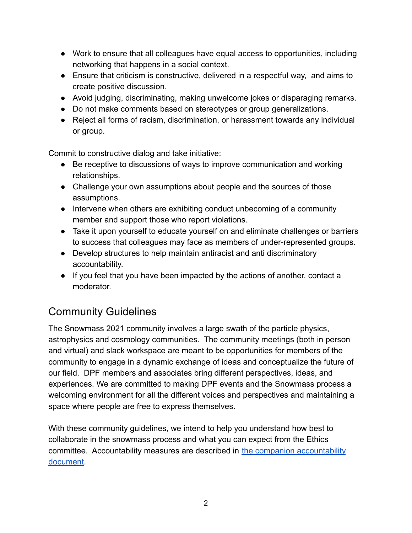- Work to ensure that all colleagues have equal access to opportunities, including networking that happens in a social context.
- Ensure that criticism is constructive, delivered in a respectful way, and aims to create positive discussion.
- Avoid judging, discriminating, making unwelcome jokes or disparaging remarks.
- Do not make comments based on stereotypes or group generalizations.
- Reject all forms of racism, discrimination, or harassment towards any individual or group.

Commit to constructive dialog and take initiative:

- Be receptive to discussions of ways to improve communication and working relationships.
- Challenge your own assumptions about people and the sources of those assumptions.
- Intervene when others are exhibiting conduct unbecoming of a community member and support those who report violations.
- Take it upon yourself to educate yourself on and eliminate challenges or barriers to success that colleagues may face as members of under-represented groups.
- Develop structures to help maintain antiracist and anti discriminatory accountability.
- If you feel that you have been impacted by the actions of another, contact a moderator.

# <span id="page-1-0"></span>Community Guidelines

The Snowmass 2021 community involves a large swath of the particle physics, astrophysics and cosmology communities. The community meetings (both in person and virtual) and slack workspace are meant to be opportunities for members of the community to engage in a dynamic exchange of ideas and conceptualize the future of our field. DPF members and associates bring different perspectives, ideas, and experiences. We are committed to making DPF events and the Snowmass process a welcoming environment for all the different voices and perspectives and maintaining a space where people are free to express themselves.

With these community guidelines, we intend to help you understand how best to collaborate in the snowmass process and what you can expect from the Ethics committee. Accountability measures are described in [the companion accountability](https://drive.google.com/file/d/1KEAv6yMoyadnvNMGQs46m-H95eC3Z0dv/view?usp=sharing) [document.](https://drive.google.com/file/d/1KEAv6yMoyadnvNMGQs46m-H95eC3Z0dv/view?usp=sharing)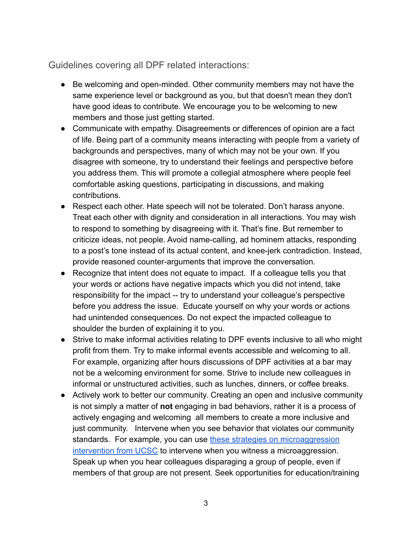<span id="page-2-0"></span>Guidelines covering all DPF related interactions:

- Be welcoming and open-minded. Other community members may not have the same experience level or background as you, but that doesn't mean they don't have good ideas to contribute. We encourage you to be welcoming to new members and those just getting started.
- Communicate with empathy. Disagreements or differences of opinion are a fact of life. Being part of a community means interacting with people from a variety of backgrounds and perspectives, many of which may not be your own. If you disagree with someone, try to understand their feelings and perspective before you address them. This will promote a collegial atmosphere where people feel comfortable asking questions, participating in discussions, and making contributions.
- Respect each other. Hate speech will not be tolerated. Don't harass anyone. Treat each other with dignity and consideration in all interactions. You may wish to respond to something by disagreeing with it. That's fine. But remember to criticize ideas, not people. Avoid name-calling, ad hominem attacks, responding to a post's tone instead of its actual content, and knee-jerk contradiction. Instead, provide reasoned counter-arguments that improve the conversation.
- Recognize that intent does not equate to impact. If a colleague tells you that your words or actions have negative impacts which you did not intend, take responsibility for the impact -- try to understand your colleague's perspective before you address the issue. Educate yourself on why your words or actions had unintended consequences. Do not expect the impacted colleague to shoulder the burden of explaining it to you.
- Strive to make informal activities relating to DPF events inclusive to all who might profit from them. Try to make informal events accessible and welcoming to all. For example, organizing after hours discussions of DPF activities at a bar may not be a welcoming environment for some. Strive to include new colleagues in informal or unstructured activities, such as lunches, dinners, or coffee breaks.
- Actively work to better our community. Creating an open and inclusive community is not simply a matter of **not** engaging in bad behaviors, rather it is a process of actively engaging and welcoming all members to create a more inclusive and just community. Intervene when you see behavior that violates our community standards. For example, you can use these strategies [on microaggression](https://academicaffairs.ucsc.edu/events/documents/Microaggressions_InterruptHO_2014_11_182v5.pdf) [intervention from UCSC](https://academicaffairs.ucsc.edu/events/documents/Microaggressions_InterruptHO_2014_11_182v5.pdf) to intervene when you witness a microaggression. Speak up when you hear colleagues disparaging a group of people, even if members of that group are not present. Seek opportunities for education/training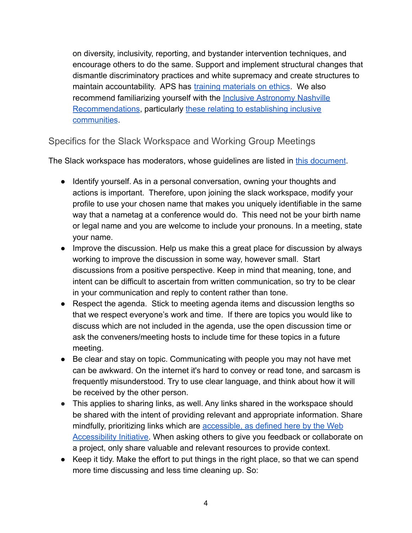on diversity, inclusivity, reporting, and bystander intervention techniques, and encourage others to do the same. Support and implement structural changes that dismantle discriminatory practices and white supremacy and create structures to maintain accountability. APS has [training materials](https://www.aps.org/programs/ethics/index.cfm) on ethics. We also recommend familiarizing yourself with the Inclusive [Astronomy Nashville](https://tiki.aas.org/tiki-index.php?page=Inclusive_Astronomy_The_Nashville_Recommendations) [Recommendations](https://tiki.aas.org/tiki-index.php?page=Inclusive_Astronomy_The_Nashville_Recommendations), particularly [these relating to establishing](https://tiki.aas.org/tiki-index.php?page=Inclusive_Astronomy_The_Nashville_Recommendations#Establishing_a_Community_of_Inclusive_Practice:_Recommendations_Summary_Table) inclusive [communities](https://tiki.aas.org/tiki-index.php?page=Inclusive_Astronomy_The_Nashville_Recommendations#Establishing_a_Community_of_Inclusive_Practice:_Recommendations_Summary_Table).

#### <span id="page-3-0"></span>Specifics for the Slack Workspace and Working Group Meetings

The Slack workspace has moderators, whose guidelines are listed in [this document](https://docs.google.com/document/d/1zR2aB1WGxL4aruLISaQ7GXb4oLOxhCKW7_NrucfNnws/edit#heading=h.obb0p7nal0gl).

- Identify yourself. As in a personal conversation, owning your thoughts and actions is important. Therefore, upon joining the slack workspace, modify your profile to use your chosen name that makes you uniquely identifiable in the same way that a nametag at a conference would do. This need not be your birth name or legal name and you are welcome to include your pronouns. In a meeting, state your name.
- Improve the discussion. Help us make this a great place for discussion by always working to improve the discussion in some way, however small. Start discussions from a positive perspective. Keep in mind that meaning, tone, and intent can be difficult to ascertain from written communication, so try to be clear in your communication and reply to content rather than tone.
- Respect the agenda. Stick to meeting agenda items and discussion lengths so that we respect everyone's work and time. If there are topics you would like to discuss which are not included in the agenda, use the open discussion time or ask the conveners/meeting hosts to include time for these topics in a future meeting.
- Be clear and stay on topic. Communicating with people you may not have met can be awkward. On the internet it's hard to convey or read tone, and sarcasm is frequently misunderstood. Try to use clear language, and think about how it will be received by the other person.
- This applies to sharing links, as well. Any links shared in the workspace should be shared with the intent of providing relevant and appropriate information. Share mindfully, prioritizing links which are accessible, [as defined here by the Web](https://www.w3.org/WAI/fundamentals/accessibility-intro/) [Accessibility Initiative.](https://www.w3.org/WAI/fundamentals/accessibility-intro/) When asking others to give you feedback or collaborate on a project, only share valuable and relevant resources to provide context.
- Keep it tidy. Make the effort to put things in the right place, so that we can spend more time discussing and less time cleaning up. So: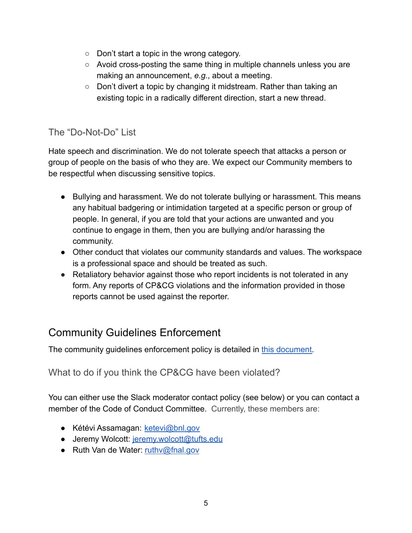- Don't start a topic in the wrong category.
- $\circ$  Avoid cross-posting the same thing in multiple channels unless you are making an announcement, *e.g.*, about a meeting.
- Don't divert a topic by changing it midstream. Rather than taking an existing topic in a radically different direction, start a new thread.

#### <span id="page-4-0"></span>The "Do-Not-Do" List

Hate speech and discrimination. We do not tolerate speech that attacks a person or group of people on the basis of who they are. We expect our Community members to be respectful when discussing sensitive topics.

- Bullying and harassment. We do not tolerate bullying or harassment. This means any habitual badgering or intimidation targeted at a specific person or group of people. In general, if you are told that your actions are unwanted and you continue to engage in them, then you are bullying and/or harassing the community.
- Other conduct that violates our community standards and values. The workspace is a professional space and should be treated as such.
- Retaliatory behavior against those who report incidents is not tolerated in any form. Any reports of CP&CG violations and the information provided in those reports cannot be used against the reporter.

## <span id="page-4-1"></span>Community Guidelines Enforcement

The community quidelines enforcement policy is detailed in [this document.](https://drive.google.com/file/d/1KEAv6yMoyadnvNMGQs46m-H95eC3Z0dv/view)

What to do if you think the CP&CG have been violated?

<span id="page-4-2"></span>You can either use the Slack moderator contact policy (see below) or you can contact a member of the Code of Conduct Committee. Currently, these members are:

- Kétévi Assamagan: [ketevi@bnl.gov](mailto:ketevi@bnl.gov)
- Jeremy Wolcott: [jeremy.wolcott@tufts.edu](mailto:jeremy.wolcott@tufts.edu)
- Ruth Van de Water: [ruthv@fnal.gov](mailto:ruthv@fnal.gov)